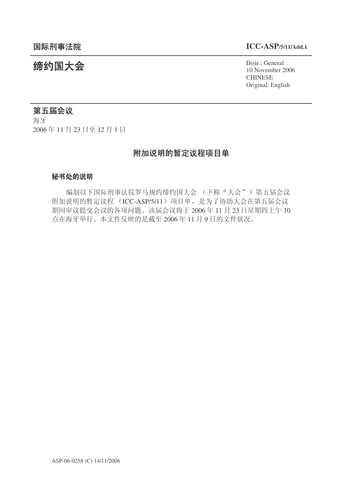# 䰙ߥџ⊩䰶 **ICC-ASP/5/11/Add.1**

统约国大会 $\cdots$  General  $\cdots$   $\cdots$   $\cdots$   $\cdots$   $\cdots$   $\cdots$   $\cdots$   $\cdots$   $\cdots$   $\cdots$   $\cdots$   $\cdots$   $\cdots$   $\cdots$ 10 November 2006 CHINESE Original: English

# 第五届会议

海牙 2006年11月23日至12月1日

# 附加说明的暂定议程项目单

#### 秘书处的说明

编制以下国际刑事法院罗马规约缔约国大会 (下称"大会") 第五届会议 附加说明的暂定议程 (ICC-ASP/5/11) 项目单, 是为了协助大会在第五届会议 期间审议提交会议的各项问题。该届会议将于 2006年 11 月 23 日星期四上午 10 点在海牙举行。本文件反映的是截至2006年11月9日的文件状况。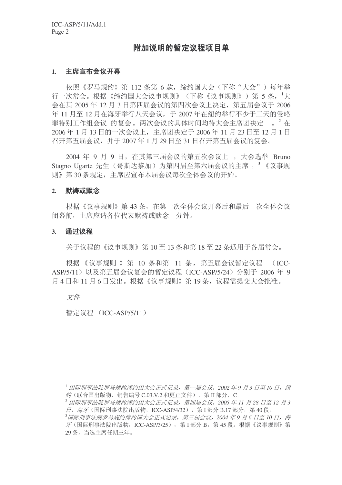# 附加说明的暂定议程项目单

#### 1. 主席宣布会议开幕

依照《罗马规约》第112 条第 6 款, 缔约国大会(下称"大会") 每年举 行一次常会。根据《缔约国大会议事规则》(下称《议事规则》)第 5 条,<sup>1</sup>大  $\Leftrightarrow$  在其 2005 年 12 月 3 日第四届会议的第四次会议上决定, 第五届会议于 2006 年 11 月至 12 月在海牙举行八天会议, 干 2007 年在纽约举行不少于三天的侵略 罪特别工作组会议 的复会。两次会议的具体时间均待大会主席团决定——。 <sup>2</sup> 在 2006年1月13日的一次会议上,主席团决定于 2006年11月23日至12月1日  $A^2 + B^2 + B^2 = 2007 + 1$  月 29 日至 31 日召开第五届会议的复会。

2004 年 9 月 9 日, 在其第三届会议的第五次会议上, 大会选举 Bruno Stagno Ugarte 先生(哥斯达黎加)为第四届至第六届会议的主席。<sup>3</sup>《议事规 则》第30条规定,主席应宣布本届会议每次全体会议的开始。

#### 2. 默祷或默念

根据《议事规则》第43条, 在第一次全体会议开幕后和最后一次全体会议 闭幕前, 主席应请各位代表默祷或默念一分钟。

#### 3. 通过议程

关于议程的《议事规则》第10至13 条和第18 至 22 条适用于各届常会。

根据《议事规则 》第 10 条和第 11 条, 第五届会议暂定议程 (ICC-ASP/5/11) 以及第五届会议复会的暂定议程 (ICC-ASP/5/24) 分别于 2006 年 9 月 4 日和 11 月 6 日发出。根据《议事规则》第 19 条, 议程需提交大会批准。

文件

暂定议程 (ICC-ASP/5/11)

<sup>&</sup>lt;sup>1</sup> 国际刑事法院罗马规约缔约国大会正式记录,第一届会议,2002年9月3日至10日,纽 约(联合国出版物, 销售编号 C.03.V.2 和更正文件), 第 II 部分, C。

<sup>2</sup> 䰙ߥџ⊩䰶㔫偀㾘㑺㓨㑺Ӯℷᓣ䆄ᔩˈಯሞӮ䆂ˈ*2005* ᑈ *11* ᳜ *28* ᮹㟇 *12* ᳜ *3*  $\overline{H}$ , 海牙(国际刑事法院出版物, ICC-ASP/4/32), 第 I 部分 B.17 部分, 第 40 段。

<sup>&</sup>lt;sup>3</sup>国际刑事法院罗马规约缔约国大会正式记录,第三届会议,2004 年9 月 6 日至 10 日,海  $\mathcal{F}$ (国际刑事法院出版物, ICC-ASP/3/25), 第 I 部分 B, 第 45 段。根据《议事规则》第 29 条, 当选主席仟期三年。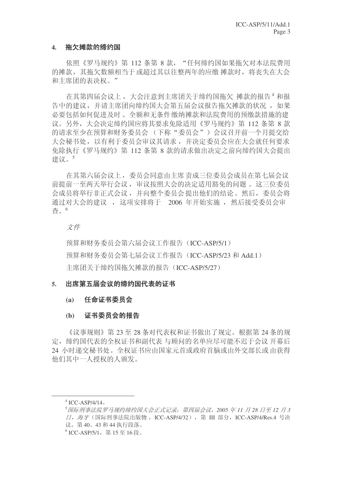## 4. 拖欠摊款的缔约国

依照《罗马规约》第 112 条第 8 款, "任何缔约国如果拖欠对本法院费用 的摊款, 其拖欠数额相当于或超过其以往整两年的应缴 摊款时, 将丧失在大会 和主席团的表决权。"

在其第四届会议上, 大会注意到主席团关于缔约国拖欠 摊款的报告<sup>4</sup> 和报 告中的建议, 并请主席团向缔约国大会第五届会议报告拖欠摊款的状况, 如果 必要包括如何促进及时、全额和无条件缴纳摊款和法院费用的预缴款措施的建 议。另外, 大会决定缔约国应将其要求免除适用《罗马规约》第 112 条第 8 款 的请求至少在预算和财务委员会(下称"委员会")会议召开前一个月提交给 大会秘书处, 以有利于委员会审议其请求, 并决定委员会应在大会就任何要求 免除执行《罗马规约》第 112 条第 8 款的请求做出决定之前向缔约国大会提出 建议。<sup>5</sup>

在其第六届会议上,委员会同意由主席责成三位委员会成员在第七届会议 前提前一至两天举行会议, 审议按照大会的决定适用豁免的问题。 这三位委员 会成员将举行非正式会议,并向整个委员会提出他们的结论。然后,委员会将 通过对大会的建议, 这项安排将于 2006 年开始实施, 然后接受委员会审 杳。6

### 文件

预算和财务委员会第六届会议工作报告(ICC-ASP/5/1) 预算和财务委员会第七届会议工作报告 (ICC-ASP/5/23 和 Add.1) 主席团关于缔约国拖欠摊款的报告(ICC-ASP/5/27)

### 5. 出席第五届会议的缔约国代表的证书

### (a) 任命证书委员会

### (b) 证书委员会的报告

《议事规则》第23至28条对代表权和证书做出了规定。根据第24条的规 定, 缔约国代表的全权证书和副代表 与顾问的名单应尽可能不迟于会议 开幕后 24 小时递交秘书处。全权证书应由国家元首或政府首脑或由外交部长或由获得 他们其中一人授权的人颁发。

 $4$  ICC-ASP/4/14.

<sup>&</sup>lt;sup>5</sup> 国际刑事法院罗马规约缔约国大会正式记录,第四届会议,2005年11月28日至12月3 日, 海牙(国际刑事法院出版物, ICC-ASP/4/32), 第 III 部分, ICC-ASP/4/Res.4 号决 议, 第40、43 和44 执行段落。

 $^6$  ICC-ASP/5/1,第15至16段。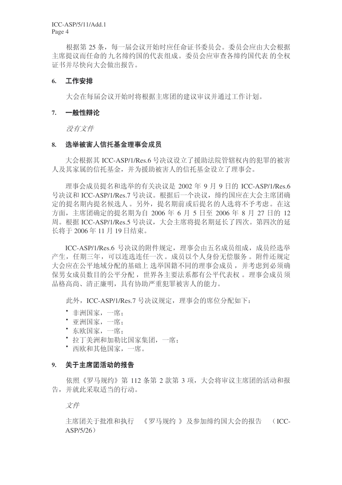根据第25条,每一届会议开始时应任命证书委员会。委员会应由大会根据 主席提议而任命的九名缔约国的代表组成。委员会应审查各缔约国代表 的全权 证书并尽快向大会做出报告。

## 6. 工作安排

大会在每届会议开始时将根据主席团的建议审议并通过工作计划。

### 7. 一般性辩论

没有文件

# 8. 选举被害人信托基金理事会成员

大会根据其 ICC-ASP/1/Res.6 号决议设立了援助法院管辖权内的犯罪的被害 人及其家属的信托基金,并为援助被害人的信托基金设立了理事会。

理事会成员提名和选举的有关决议是 2002 年 9 月 9 日的 ICC-ASP/1/Res.6 号决议和 ICC-ASP/1/Res.7 号决议。根据后一个决议, 缔约国应在大会主席团确 定的提名期内提名候选人。另外,提名期前或后提名的人选将不予考虑。在这 方面, 主席团确定的提名期为自 2006 年 6 月 5 日至 2006 年 8 月 27 日的 12 周。根据 ICC-ASP/1/Res.5 号决议, 大会主席将提名期延长了四次。第四次的延 长将于 2006年11月19日结束。

ICC-ASP/1/Res.6 号决议的附件规定, 理事会由五名成员组成, 成员经选举 产生, 任期三年, 可以连选连任一次。成员以个人身份无偿服务。附件还规定 大会应在公平地域分配的基础上 选举国籍不同的理事会成员, 并考虑到必须确 保男女成员数目的公平分配, 世界各主要法系都有公平代表权。 理事会成员须 品格高尚、清正廉明, 具有协助严重犯罪被害人的能力。

此外, ICC-ASP/1/Res.7 号决议规定, 理事会的席位分配如下:

- 非洲国家, 一席:
- 亚洲国家, 一席:
- 东欧国家, 一席:
- 拉丁美洲和加勒比国家集团, 一席:
- 西欧和其他国家, 一席。

# 9. 关于主席团活动的报告

依照《罗马规约》第112 条第 2 款第 3 项, 大会将审议主席团的活动和报 告,并就此采取适当的行动。

文件

主席团关于批准和执行 《罗马规约 》及参加缔约国大会的报告 (ICC- $ASP/5/26)$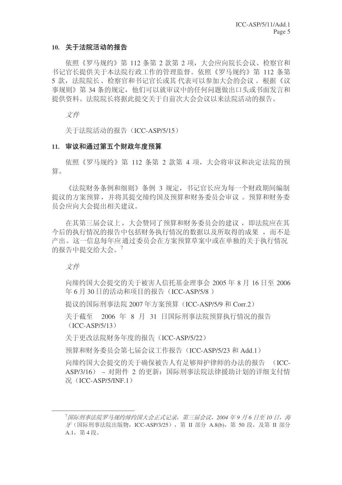# 10. 关于法院活动的报告

依照《罗马规约》第112 条第 2 款第 2 项, 大会应向院长会议、检察官和 书记官长提供关于本法院行政工作的管理监督。依照《罗马规约》第 112 条第 5 款, 法院院长、检察官和书记官长或其代表可以参加大会的会议。根据《议 事规则》第34条的规定,他们可以就审议中的任何问题做出口头或书面发言和 提供资料。法院院长将据此提交关于自前次大会会议以来法院活动的报告。

文件

关于法院活动的报告 (ICC-ASP/5/15)

# 11. 审议和通过第五个财政年度预算

依照《罗马规约》第 112 条第 2 款第 4 项, 大会将审议和决定法院的预 算。

《法院财务条例和细则》条例 3 规定, 书记官长应为每一个财政期间编制 提议的方案预算,并将其提交缔约国及预算和财务委员会审议。 预算和财务委 员会应向大会提出相关建议。

在其第三届会议上, 大会赞同了预算和财务委员会的建议, 即法院应在其 今后的执行情况的报告中包括财务执行情况的数据以及所取得的成果,而不是 产出。这一信息每年应通过委员会在方案预算草案中或在单独的关于执行情况 的报告中提交给大会。7

文件

向缔约国大会提交的关于被害人信托基金理事会  $2005 \n 45 \times 8 \n 16$  日至  $2006$ 年 6 月 30 日的活动和项目的报告 (ICC-ASP/5/8)

提议的国际刑事法院 2007 年方案预算 (ICC-ASP/5/9 和 Corr.2)

关于截至 2006 年 8 月 31 日国际刑事法院预算执行情况的报告  $(ICC-ASP/5/13)$ 

关于更改法院财务年度的报告(ICC-ASP/5/22)

预算和财务委员会第七届会议工作报告 (ICC-ASP/5/23 和 Add.1)

向缔约国大会提交的关于确保被告人有足够辩护律师的办法的报告 (ICC-ASP/3/16) – 对附件 2 的更新: 国际刑事法院法律援助计划的详细支付情  $\mathcal{F}\!$ . (ICC-ASP/5/INF.1)

<sup>&</sup>lt;sup>7</sup>国际刑事法院罗马规约缔约国大会正式记录, 第三届会议, 2004 年9 月 6 日至 10 日, 海  $\mathcal F$  (国际刑事法院出版物, ICC-ASP/3/25), 第 II 部分 A.8(b), 第 50 段, 及第 II 部分  $A.1.$  第4段。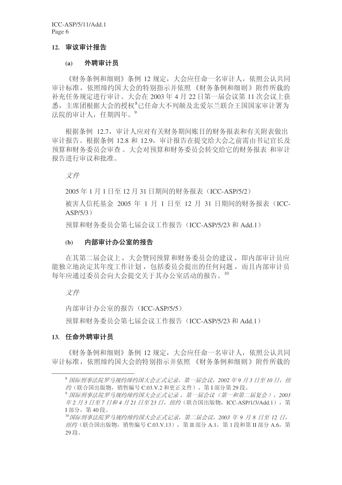ICC-ASP/5/11/Add.1 Page 6

#### 12. 审议审计报告

#### (a) 外聘审计员

《财务条例和细则》条例 12 规定, 大会应任命一名审计人, 依照公认共同 审计标准, 依照缔约国大会的特别指示并依照《财务条例和细则》附件所载的 补充任务规定进行审计。大会在 2003 年 4 月 22 日第一届会议第 11 次会议上获 悉, 主席团根据大会的授权<sup>8</sup>已任命大不列颠及北爱尔兰联合王国国家审计署为 法院的审计人, 任期四年。9

根据条例 12.7, 审计人应对有关财务期间账目的财务报表和有关附表做出 审计报告。根据条例 12.8 和 12.9, 审计报告在提交给大会之前需由书记官长及 预算和财务委员会审查。大会对预算和财务委员会转交给它的财务报表 和审计 报告讲行审议和批准。

文件

2005年1月1日至12月31日期间的财务报表 (ICC-ASP/5/2)

被害人信托基金 2005 年 1 月 1 日至 12 月 31 日期间的财务报表 (ICC- $ASP/5/3)$ 

预算和财务委员会第七届会议工作报告 (ICC-ASP/5/23 和 Add.1)

#### (b) 内部审计办公室的报告

在其第二届会议上, 大会赞同预算和财务委员会的建议, 即内部审计员应 能独立地决定其年度工作计划, 包括委员会提出的任何问题, 而且内部审计员 每年应通过委员会向大会提交关于其办公室活动的报告。10

#### 文件

内部审计办公室的报告 (ICC-ASP/5/5)

预算和财务委员会第七届会议工作报告 (ICC-ASP/5/23 和 Add.1)

#### 13. 任命外聘审计员

《财务条例和细则》条例 12 规定, 大会应任命一名审计人, 依照公认共同 审计标准, 依照缔约国大会的特别指示并依照 《财务条例和细则》附件所载的

<sup>&</sup>lt;sup>8</sup> 国际刑事法院罗马规约缔约国大会正式记录,第一届会议,2002年9月3日至10日,纽 约(联合国出版物, 销售编号  $C.03.V.2$  和更正文件), 第 $I$ 部分第29段。

<sup>9</sup> 国际刑事法院罗马规约缔约国大会正式记录, 第一届会议(第一和第二届复会), 2003 年2 月3 日至7 日和4 月21 日至23 日, 纽约 (联合国出版物, ICC-ASP/1/3/Add.1), 第 I 部分, 第40段。

<sup>&</sup>lt;sup>10</sup> 国际刑事法院罗马规约缔约国大会正式记录,第二届会议,2003 年 9 月 8 日至 12 日, 纽约 (联合国出版物, 销售编号 C.03.V.13), 第Ⅱ部分 A.1, 第1段和第Ⅱ部分 A.6, 第 29段。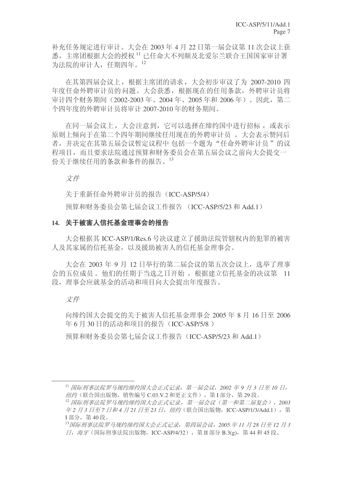补充任务规定进行审计。大会在 2003 年 4 月 22 日第一届会议第 11 次会议上获  $\mathbb K$ , 主席团根据大会的授权  $^{11}$  已任命大不列颠及北爱尔兰联合王国国家审计署 为法院的审计人, 任期四年。12

在其第四届会议上, 根据主席团的请求, 大会初步审议了为 2007-2010 四 年度任命外聘审计员的问题。大会获悉,根据现在的任用条款,外聘审计员将 审计四个财务期间 (2002-2003年、2004年、2005年和2006年)。因此, 第二 个四年度的外聘审计员将审计 2007-2010 年的财务期间。

在同一届会议上,大会注意到,它可以选择在缔约国中进行招标,或表示 原则上倾向于在第二个四年期间继续任用现在的外聘审计员 。 大会表示赞同后 者,并决定在其第五届会议暂定议程中 包括一个题为"任命外聘审计员"的议 程项目,而且要求法院通过预算和财务委员会在第五届会议之前向大会提交一 份关于继续任用的条款和条件的报告。13

文件

关于重新任命外聘审计员的报告 (ICC-ASP/5/4)

预算和财务委员会第七届会议工作报告 (ICC-ASP/5/23 和 Add.1)

# 14. 关于被害人信托基金理事会的报告

大会根据其 ICC-ASP/1/Res.6 号决议建立了援助法院管辖权内的犯罪的被害 人及其家属的信托基金,以及援助被害人的信托基金理事会。

大会在 2003 年 9 月 12 日举行的第二届会议的第五次会议上, 选举了理事 会的五位成员。他们的任期于当选之日开始。根据建立信托基金的决议第 11 段, 理事会应就基金的活动和项目向大会提出年度报告。

文件

向缔约国大会提交的关于被害人信托基金理事会  $2005 \n 458$  月 16 日至 2006 年 6 月 30 日的活动和项目的报告 (ICC-ASP/5/8)

预算和财务委员会第七届会议工作报告 (ICC-ASP/5/23 和 Add.1)

<sup>11</sup> 国际刑事法院罗马规约缔约国大会正式记录, 第一届会议, 2002 年9 月 3 日至 10 日,  $\mathscr{A}\mathscr{B}$  (联合国出版物, 销售编号  $C.03.V.2$  和更正文件), 第Ⅰ部分, 第29段。

<sup>12</sup> 国际刑事法院罗马规约缔约国大会正式记录, 第一届会议(第一和第二届复会), 2003 车2 月3 日至7 日和4 月21 日至23 日, 纽约 (联合国出版物, ICC-ASP/1/3/Add.1), 第 I 部分, 第40段。

<sup>&</sup>lt;sup>13</sup> 国际刑事法院罗马规约缔约国大会正式记录,第四届会议, 2005 年11 月 28 日至 12 月 3  $\Box$ , 海牙(国际刑事法院出版物, ICC-ASP/4/32), 第 II 部分 B.3(g), 第 44 和 45 段。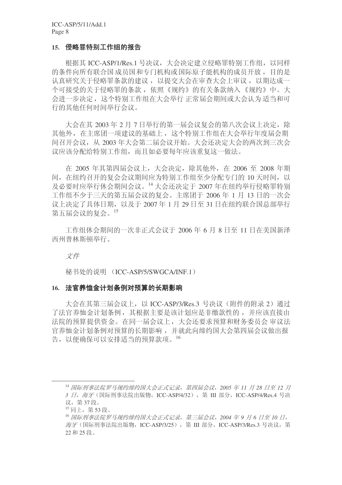#### 15. 侵略罪特别工作组的报告

根据其 ICC-ASP/1/Res.1 号决议, 大会决定建立侵略罪特别工作组, 以同样 的条件向所有联合国成员国和专门机构或国际原子能机构的成员开放,目的是 认真研究关于侵略罪条款的建议, 以提交大会在审查大会上审议, 以期达成一 个可接受的关于侵略罪的条款, 依照《规约》的有关条款纳入《规约》中。大 会讲一步决定, 这个特别工作组在大会举行正常届会期间或大会认为适当和可 行的其他任何时间举行会议。

大会在其 2003年2月7日举行的第一届会议复会的第八次会议上决定, 除 其他外, 在主席团一项建议的基础上, 这个特别工作组在大会举行年度届会期 间召开会议, 从 2003 年大会第二届会议开始。大会还决定大会的两次到三次会 议应该分配给特别工作组,而且如必要每年应该重复这一做法。

在 2005 年其第四届会议上, 大会决定, 除其他外, 在 2006 至 2008 年期 间, 在纽约召开的复会会议期间应为特别工作组至少分配专门的 10 天时间, 以 及必要时应举行休会期间会议。14 大会还决定于 2007 年在纽约举行侵略罪特别 工作组不少于三天的第五届会议的复会。主席团于 2006 年 1 月 13 日的一次会 议上决定了具体日期, 以及于 2007年 1月 29 日至 31 日在纽约联合国总部举行 第五届会议的复会。15

工作组休会期间的一次非正式会议于 2006 年 6 月 8 日至 11 日在美国新泽 西州普林斯顿举行。

文件

秘书处的说明 (ICC-ASP/5/SWGCA/INF.1)

#### 16. 法官养恤金计划条例对预算的长期影响

大会在其第三届会议上, 以 ICC-ASP/3/Res.3 号决议(附件的附录 2) 通过 了法官养恤金计划条例, 其根据主要是该计划应是非缴款性的, 并应该直接由 法院的预算提供资金。在同一届会议上,大会还要求预算和财务委员会 审议法 官养恤金计划条例对预算的长期影响,并就此向缔约国大会第四届会议做出报 告,以便确保可以安排活当的预算款项。16

<sup>&</sup>lt;sup>14</sup> 国际刑事法院罗马规约缔约国大会正式记录, 第四届会议, 2005 年 11 月 28 日至 12 月 3 日, 海牙(国际刑事法院出版物, ICC-ASP/4/32), 第 III 部分, ICC-ASP/4/Res.4 号决 议, 第37段。

<sup>15</sup> 同上, 第53段。

<sup>16</sup> 国际刑事法院罗马规约缔约国大会正式记录, 第三届会议, 2004 年 9 月 6 日至 10 日, 海牙(国际刑事法院出版物, ICC-ASP/3/25), 第 III 部分, ICC-ASP/3/Res.3 号决议, 第 22 和 25 段。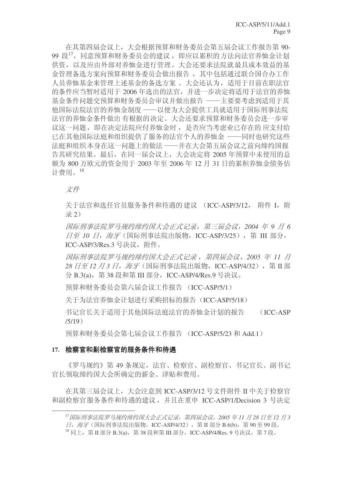在其第四届会议上,大会根据预算和财务委员会第五届会议工作报告第90-99 段17, 同意预算和财务委员会的建议, 即应以累积的方法向法官养恤金计划 供资, 以及应由外部对养恤金进行管理。大会还要求法院就最具成本效益的基 金管理备选方案向预算和财务委员会做出报告, 其中包括通过联合国合办工作 人员养恤基金来管理上述基金的备选方案。 大会还认为, 适用于目前在职法官 的条件应当暂时适用于 2006 年选出的法官, 并讲一步决定将适用于法官的养恤 基金条件问题交预算和财务委员会审议并做出报告 -- 主要要考虑到话用干其 他国际法院法官的养恤金制度 ——以便为大会提供工具就适用于国际刑事法院 法官的养恤金条件做出有根据的决定。大会还要求预算和财务委员会进一步审 议这一问题, 即在决定法院应付养恤金时, 是否应当考虑业已存在的 应支付给 已在其他国际法庭和组织提供了服务的法官个人的养恤金 --同时也研究这些 法庭和组织本身在这一问题上的做法 ——并在大会第五届会议之前向缔约国报 告其研究结果。最后, 在同一届会议上, 大会决定将 2005 年预算中未使用的总 额为 800 万欧元的资金用于 2003 年至 2006 年 12 月 31 日的累积养恤金债务估 计费用。<sup>18</sup>

文件

关于法官和选任官员服务条件和待遇的 建议 (ICC-ASP/3/12, 附件 I, 附 录 2)

**国际刑事法院罗马规约缔约国大会正式记录, 第三届会议, 2004 年 9 月 6**  $\exists$ 至 10 日, 海牙(国际刑事法院出版物, ICC-ASP/3/25), 第 III 部分, ICC-ASP/3/Res.3 号决议, 附件。

**国际刑事法院罗马规约缔约国大会正式记录, 第四届会议, 2005 年 11 月** 28 日至 12 月 3 日, 海牙 (国际刑事法院出版物, ICC-ASP/4/32), 第 Ⅱ 部 分 B.3(a), 第 38 段和第 III 部分, ICC-ASP/4/Res.9 号决议。

预算和财务委员会第六届会议工作报告 (ICC-ASP/5/1)

关于为法官养恤金计划进行采购招标的报告(ICC-ASP/5/18)

书记官长关于适用于其他国际法庭法官的养恤金计划的报告 (ICC-ASP  $/5/19)$ 

预算和财务委员会第七届会议工作报告 (ICC-ASP/5/23 和 Add.1)

### 17. 检察官和副检察官的服务条件和待遇

《罗马规约》第49条规定,法官、检察官、副检察官、书记官长、副书记 官长领取缔约国大会所确定的薪金、津贴和费用。

在其第三届会议上, 大会注意到 ICC-ASP/3/12 号文件附件 II 中关于检察官 和副检察官服务条件和待遇的建议, 并且在重申 ICC-ASP/1/Decision 3 号决定

<sup>&</sup>lt;sup>17</sup> 国际刑事法院罗马规约缔约国大会正式记录, 第四届会议, 2005 年11 月 28 日至 12 月 3  $\Box$ , 海牙(国际刑事法院出版物, ICC-ASP/4/32), 第 II 部分 B.6(b), 第 90 至 99 段。  $^{18}$  同上, 第 II 部分 B.3(a), 第 38 段和第 III 部分, ICC-ASP/4/Res. 9 号决议, 第 7 段。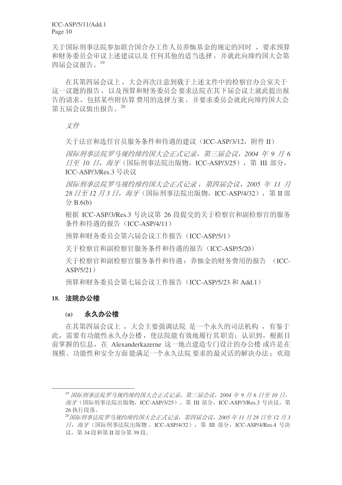ICC-ASP/5/11/Add.1 Page 10

关于国际刑事法院参加联合国合办工作人员养恤基金的规定的同时, 要求预算 和财务委员会审议上述建议以及 任何其他的话当选择, 并就此向缔约国大会第 四届会议报告。19

在其第四届会议上, 大会再次注意到载于上述文件中的检察官办公室关于 这一议题的报告,以及预算和财务委员会要求法院在其下届会议上就此提出报 告的请求, 包括某些附估算费用的选择方案, 并要求委员会就此向缔约国大会 第五届会议做出报告。20

文件

关于法官和选任官员服务条件和待遇的建议(ICC-ASP/3/12, 附件 II)

**国际刑事法院罗马规约缔约国大会正式记录, 第三届会议, 2004 年 9 月 6**  $\overline{H}$ 至 10  $\overline{H}$ , 海牙 (国际刑事法院出版物, ICC-ASP/3/25), 第 III 部分, ICC-ASP/3/Res.3 号决议

**国际刑事法院罗马规约缔约国大会正式记录, 第四届会议, 2005 年 11 月** 28 *日至12 月3 日, 海牙* (国际刑事法院出版物, ICC-ASP/4/32), 第Ⅱ部  $\hat{B}$  B.6(b)

根据 ICC-ASP/3/Res.3 号决议第 26 段提交的关于检察官和副检察官的服务 条件和待遇的报告 (ICC-ASP/4/11)

预算和财务委员会第六届会议工作报告 (ICC-ASP/5/1)

关于检察官和副检察官服务条件和待遇的报告 (ICC-ASP/5/20)

关于检察官和副检察官服务条件和待遇: 养恤金的财务费用的报告 (ICC- $ASP/5/21)$ 

预算和财务委员会第七届会议工作报告 (ICC-ASP/5/23 和 Add.1)

#### 18. 法院办公楼

#### (a) 永久办公楼

在其第四届会议上,大会主要强调法院 是一个永久的司法机构,有鉴于 此,需要有功能性永久办公楼,使法院能有效地履行其职责:认识到,根据目 前掌握的信息, 在 Alexanderkazerne 这一地点建造专门设计的办公楼或许是在 规模、功能性和安全方面能满足一个永久法院 要求的最灵活的解决办法; 欢迎

<sup>&</sup>lt;sup>19</sup> 国际刑事法院罗马规约缔约国大会正式记录, 第三届会议, 2004 年 9 月 6 日至 10 日, 海牙(国际刑事法院出版物, ICC-ASP/3/25), 第 III 部分, ICC-ASP/3/Res.3 号决议, 第 26 执行段落。

<sup>&</sup>lt;sup>20</sup> 国际刑事法院罗马规约缔约国大会正式记录, 第四届会议, 2005 年 11 月 28 日至 12 月 3 日, 海牙(国际刑事法院出版物, ICC-ASP/4/32), 第 Ⅲ 部分, ICC-ASP/4/Res.4 号决 议, 第34 段和第 II 部分第 39 段。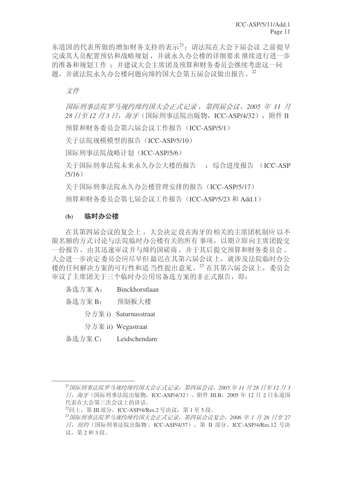东道国的代表所做的增加财务支持的表示21; 请法院在大会下届会议 之前提早 完成基人员配置预估和战略规划,并就永久办公楼的详细要求 继续进行进一步 的准备和规划工作; 并建议大会主席团及预算和财务委员会继续考虑这一问 题,并就法院永久办公楼问题向缔约国大会第五届会议做出报告。22

# 文件

**国际刑事法院罗马规约缔约国大会正式记录, 第四届会议, 2005 年 11 月** 28 *日至12 月3 日,海牙*(国际刑事法院出版物, ICC-ASP/4/32), 附件 Ⅱ 预算和财务委员会第六届会议工作报告 (ICC-ASP/5/1)

关于法院规模模型的报告 (ICC-ASP/5/10)

国际刑事法院战略计划 (ICC-ASP/5/6)

关于国际刑事法院未来永久办公大楼的报告 : 综合进度报告 (ICC-ASP  $/5/16)$ 

关于国际刑事法院永久办公楼管理安排的报告(ICC-ASP/5/17)

预算和财务委员会第七届会议工作报告 (ICC-ASP/5/23 和 Add.1)

### (b) 临时办公楼

在其第四届会议的复会上,大会决定设在海牙的相关的主席团机制应以不 限名额的方式 讨论与法院临时办公楼有关的所有 事项, 以期立即向主席团提交 一份报告, 由其迅速审议并与缔约国磋商, 并于其后提交预算和财务委员会。 大会进一步决定委员会应尽早但最迟在其第六届会议上, 就涉及法院临时办公 楼的任何解决方案的可行性和适 当性提出意见。<sup>23</sup> 在其第六届会议上, 委员会 审议了主席团关于三个临时办公用房备选方案的非正式报告, 即:

- 备选方案 A: Binckhorstlaan
- 备洗方案 B: 预制板大楼
	- 分方案 i) Saturnusstraat
	- ߚᮍḜ ii) Wegastraat
- 备选方案 C: Leidschendam

<sup>&</sup>lt;sup>21</sup> 国际刑事法院罗马规约缔约国大会正式记录, 第四届会议, 2005 年 11 月 28 日至 12 月 3  $\Pi$ . 海牙(国际刑事法院出版物, ICC-ASP/4/32), 附件 III.B, 2005年12月2日东道国 代表在大会第三次会议上的讲话。

 $^{22}$ 同上, 第 III 部分, ICC-ASP/4/Res.2 号决议, 第 1 至 5 段。

<sup>&</sup>lt;sup>23</sup> 国际刑事法院罗马规约缔约国大会正式记录,第四届会议复会,2006 年 1 月 26 日至 27  $\Pi$ , 纽约 (国际刑事法院出版物, ICC-ASP/4/37), 第 Ⅱ 部分, ICC-ASP/4/Res.12 号决 议, 第2和3段。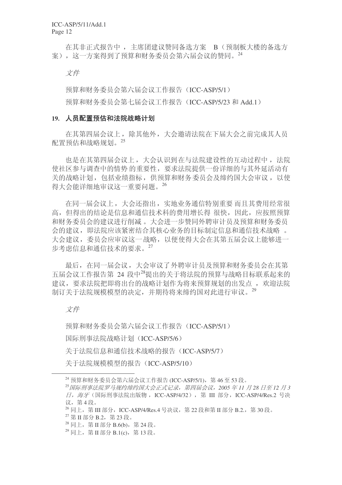ICC-ASP/5/11/Add.1 Page 12

在其非正式报告中, 主席团建议赞同备选方案 B (预制板大楼的备选方 案), 这一方案得到了预算和财务委员会第六届会议的赞同。<sup>24</sup>

文件

预算和财务委员会第六届会议工作报告(ICC-ASP/5/1)

预算和财务委员会第七届会议工作报告 (ICC-ASP/5/23 和 Add.1)

#### 19. 人员配置预估和法院战略计划

在其第四届会议上, 除其他外, 大会邀请法院在下届大会之前完成其人员 配置预估和战略规划。25

也是在其第四届会议上,大会认识到在与法院建设性的互动过程中, 法院 使社区参与调查中的情势的重要性,要求法院提供一份详细的与其外延活动有 关的战略计划, 包括业绩指标, 供预算和财务委员会及缔约国大会审议, 以使 得大会能详细地审议这一重要问题。<sup>26</sup>

在同一届会议上,大会还指出,实地业务通信特别重要而且其费用经常很 高, 但得出的结论是信息和通信技术科的费用增长得 很快, 因此, 应按照预算 和财务委员会的建议进行削减。大会进一步赞同外聘审计员及预算和财务委员 会的建议,即法院应该紧密结合其核心业务的目标制定信息和通信技术战略。 大会建议,委员会应审议这一战略,以便使得大会在其第五届会议上能够进一 步考虑信息和通信技术的要求。27

最后, 在同一届会议, 大会审议了外聘审计员及预算和财务委员会在其第 五届会议工作报告第 24 段中<sup>28</sup>提出的关于将法院的预算与战略目标联系起来的 建议,要求法院把即将出台的战略计划作为将来预算规划的出发点, 欢迎法院 制订关于法院规模模型的决定,并期待将来缔约国对此进行审议。<sup>29</sup>

#### 文件

预算和财务委员会第六届会议工作报告(ICC-ASP/5/1) 国际刑事法院战略计划(ICC-ASP/5/6) 关于法院信息和通信技术战略的报告(ICC-ASP/5/7) 关于法院规模模型的报告 (ICC-ASP/5/10)

 $^{24}$  预算和财务委员会第六届会议工作报告 (ICC-ASP/5/1), 第46至53 段。

<sup>&</sup>lt;sup>25</sup> 国际刑事法院罗马规约缔约国大会正式记录, 第四届会议, 2005 年 11 月 28 日至 12 月 3 日, 海牙(国际刑事法院出版物, ICC-ASP/4/32), 第 Ⅲ 部分, ICC-ASP/4/Res.2 号决 议, 第4段。

 $^{26}$ 同上, 第 III 部分, ICC-ASP/4/Res.4 号决议, 第 22 段和第 II 部分 B.2., 第 30 段。

 $^{27}$  第 II 部分 B.2, 第 23段。

 $28$  同上, 第 II 部分 B.6(b), 第 24 段。

 $^{29}$  同上, 第 II 部分 B.1(c), 第 13 段。